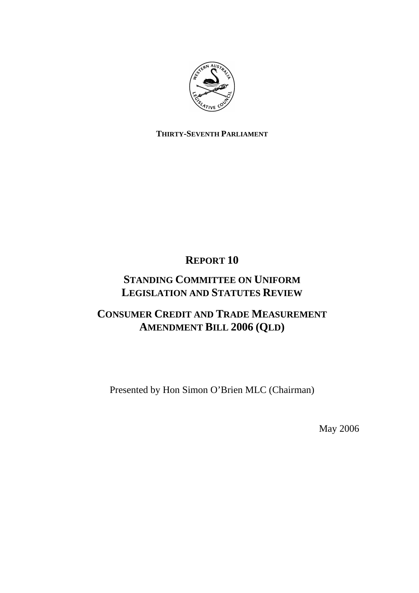

# **THIRTY-SEVENTH PARLIAMENT**

**REPORT 10** 

# **STANDING COMMITTEE ON UNIFORM LEGISLATION AND STATUTES REVIEW**

# **CONSUMER CREDIT AND TRADE MEASUREMENT AMENDMENT BILL 2006 (QLD)**

Presented by Hon Simon O'Brien MLC (Chairman)

May 2006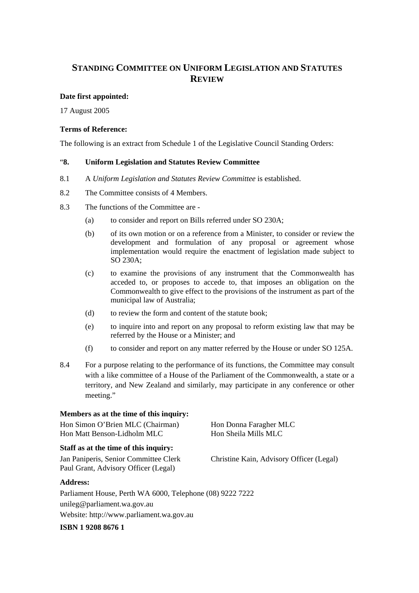# **STANDING COMMITTEE ON UNIFORM LEGISLATION AND STATUTES REVIEW**

## **Date first appointed:**

17 August 2005

#### **Terms of Reference:**

The following is an extract from Schedule 1 of the Legislative Council Standing Orders:

#### "**8. Uniform Legislation and Statutes Review Committee**

- 8.1 A *Uniform Legislation and Statutes Review Committee* is established.
- 8.2 The Committee consists of 4 Members.
- 8.3 The functions of the Committee are
	- (a) to consider and report on Bills referred under SO 230A;
	- (b) of its own motion or on a reference from a Minister, to consider or review the development and formulation of any proposal or agreement whose implementation would require the enactment of legislation made subject to SO 230A;
	- (c) to examine the provisions of any instrument that the Commonwealth has acceded to, or proposes to accede to, that imposes an obligation on the Commonwealth to give effect to the provisions of the instrument as part of the municipal law of Australia;
	- (d) to review the form and content of the statute book;
	- (e) to inquire into and report on any proposal to reform existing law that may be referred by the House or a Minister; and
	- (f) to consider and report on any matter referred by the House or under SO 125A.
- 8.4 For a purpose relating to the performance of its functions, the Committee may consult with a like committee of a House of the Parliament of the Commonwealth, a state or a territory, and New Zealand and similarly, may participate in any conference or other meeting."

#### **Members as at the time of this inquiry:**

Hon Simon O'Brien MLC (Chairman) Hon Donna Faragher MLC Hon Matt Benson-Lidholm MLC Hon Sheila Mills MLC

#### **Staff as at the time of this inquiry:**

Paul Grant, Advisory Officer (Legal)

# **Address:**

Parliament House, Perth WA 6000, Telephone (08) 9222 7222 unileg@parliament.wa.gov.au Website: http://www.parliament.wa.gov.au

**ISBN 1 9208 8676 1** 

Jan Paniperis, Senior Committee Clerk Christine Kain, Advisory Officer (Legal)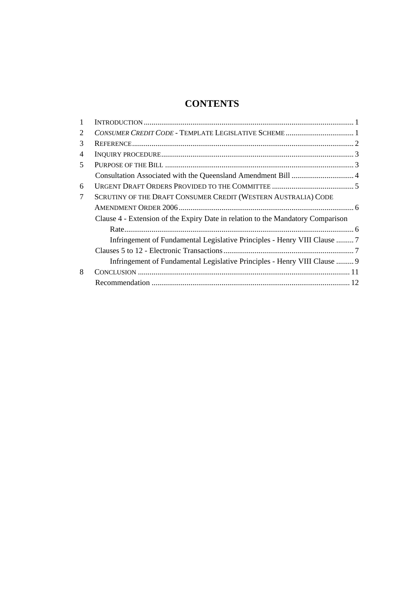# **CONTENTS**

| 2              |                                                                                 |  |
|----------------|---------------------------------------------------------------------------------|--|
| 3              |                                                                                 |  |
| $\overline{4}$ |                                                                                 |  |
| 5              |                                                                                 |  |
|                |                                                                                 |  |
| 6              |                                                                                 |  |
| 7              | SCRUTINY OF THE DRAFT CONSUMER CREDIT (WESTERN AUSTRALIA) CODE                  |  |
|                |                                                                                 |  |
|                | Clause 4 - Extension of the Expiry Date in relation to the Mandatory Comparison |  |
|                |                                                                                 |  |
|                | Infringement of Fundamental Legislative Principles - Henry VIII Clause  7       |  |
|                |                                                                                 |  |
|                | Infringement of Fundamental Legislative Principles - Henry VIII Clause  9       |  |
| 8              |                                                                                 |  |
|                |                                                                                 |  |
|                |                                                                                 |  |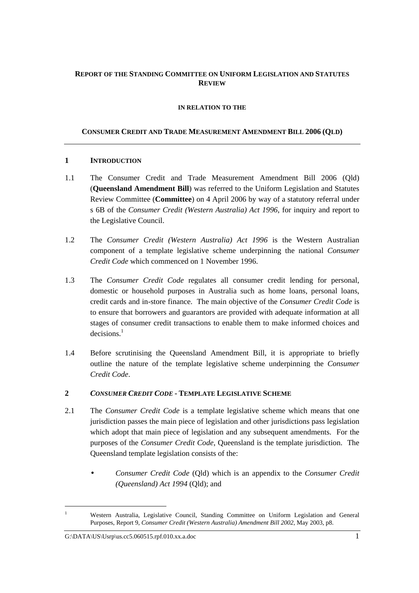# **REPORT OF THE STANDING COMMITTEE ON UNIFORM LEGISLATION AND STATUTES REVIEW**

#### **IN RELATION TO THE**

# **CONSUMER CREDIT AND TRADE MEASUREMENT AMENDMENT BILL 2006 (QLD)**

## **1 INTRODUCTION**

- 1.1 The Consumer Credit and Trade Measurement Amendment Bill 2006 (Qld) (**Queensland Amendment Bill**) was referred to the Uniform Legislation and Statutes Review Committee (**Committee**) on 4 April 2006 by way of a statutory referral under s 6B of the *Consumer Credit (Western Australia) Act 1996*, for inquiry and report to the Legislative Council.
- 1.2 The *Consumer Credit (Western Australia) Act 1996* is the Western Australian component of a template legislative scheme underpinning the national *Consumer Credit Code* which commenced on 1 November 1996.
- 1.3 The *Consumer Credit Code* regulates all consumer credit lending for personal, domestic or household purposes in Australia such as home loans, personal loans, credit cards and in-store finance. The main objective of the *Consumer Credit Code* is to ensure that borrowers and guarantors are provided with adequate information at all stages of consumer credit transactions to enable them to make informed choices and decisions.<sup>1</sup>
- 1.4 Before scrutinising the Queensland Amendment Bill, it is appropriate to briefly outline the nature of the template legislative scheme underpinning the *Consumer Credit Code*.
- **2** *CONSUMER CREDIT CODE* **- TEMPLATE LEGISLATIVE SCHEME**
- 2.1 The *Consumer Credit Code* is a template legislative scheme which means that one jurisdiction passes the main piece of legislation and other jurisdictions pass legislation which adopt that main piece of legislation and any subsequent amendments. For the purposes of the *Consumer Credit Code*, Queensland is the template jurisdiction. The Queensland template legislation consists of the:
	- *Consumer Credit Code* (Qld) which is an appendix to the *Consumer Credit (Queensland) Act 1994* (Qld); and

<sup>1</sup> Western Australia, Legislative Council, Standing Committee on Uniform Legislation and General Purposes, Report 9, *Consumer Credit (Western Australia) Amendment Bill 2002*, May 2003, p8.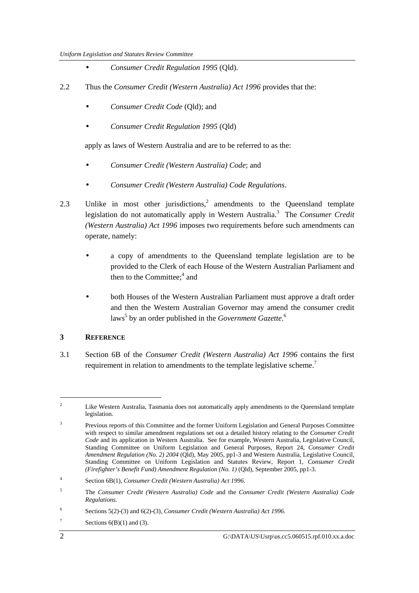- *Consumer Credit Regulation 1995* (Qld).
- 2.2 Thus the *Consumer Credit (Western Australia) Act 1996* provides that the:
	- *Consumer Credit Code* (Qld); and
	- *Consumer Credit Regulation 1995* (Qld)

apply as laws of Western Australia and are to be referred to as the:

- *Consumer Credit (Western Australia) Code*; and
- *Consumer Credit (Western Australia) Code Regulations*.
- 2.3 Unlike in most other jurisdictions, $2$  amendments to the Queensland template legislation do not automatically apply in Western Australia.<sup>3</sup> The *Consumer Credit (Western Australia) Act 1996* imposes two requirements before such amendments can operate, namely:
	- a copy of amendments to the Queensland template legislation are to be provided to the Clerk of each House of the Western Australian Parliament and then to the Committee;<sup>4</sup> and
	- both Houses of the Western Australian Parliament must approve a draft order and then the Western Australian Governor may amend the consumer credit laws<sup>5</sup> by an order published in the *Government Gazette*.<sup>6</sup>

# **3 REFERENCE**

3.1 Section 6B of the *Consumer Credit (Western Australia) Act 1996* contains the first requirement in relation to amendments to the template legislative scheme.<sup>7</sup>

<sup>2</sup> Like Western Australia, Tasmania does not automatically apply amendments to the Queensland template legislation.

<sup>3</sup> Previous reports of this Committee and the former Uniform Legislation and General Purposes Committee with respect to similar amendment regulations set out a detailed history relating to the *Consumer Credit Code* and its application in Western Australia. See for example, Western Australia, Legislative Council, Standing Committee on Uniform Legislation and General Purposes, Report 24, *Consumer Credit Amendment Regulation (No. 2) 2004* (Qld), May 2005, pp1-3 and Western Australia, Legislative Council, Standing Committee on Uniform Legislation and Statutes Review, Report 1, *Consumer Credit (Firefighter's Benefit Fund) Amendment Regulation (No. 1)* (Qld), September 2005, pp1-3.

<sup>4</sup> Section 6B(1), *Consumer Credit (Western Australia) Act 1996*.

<sup>5</sup> The *Consumer Credit (Western Australia) Code* and the *Consumer Credit (Western Australia) Code Regulations*.

<sup>6</sup> Sections 5(2)-(3) and 6(2)-(3), *Consumer Credit (Western Australia) Act 1996*.

<sup>7</sup> Sections  $6(B)(1)$  and  $(3)$ .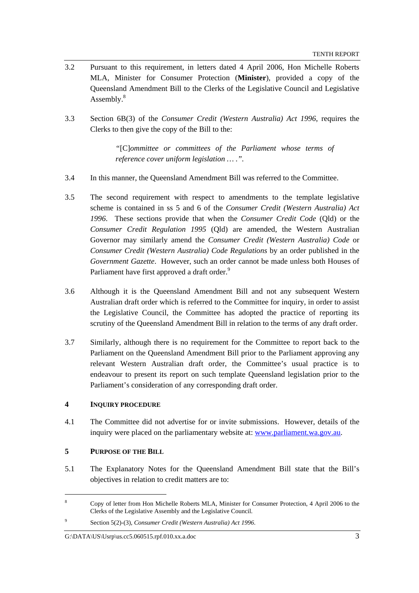- 3.2 Pursuant to this requirement, in letters dated 4 April 2006, Hon Michelle Roberts MLA, Minister for Consumer Protection (**Minister**), provided a copy of the Queensland Amendment Bill to the Clerks of the Legislative Council and Legislative Assembly.<sup>8</sup>
- 3.3 Section 6B(3) of the *Consumer Credit (Western Australia) Act 1996*, requires the Clerks to then give the copy of the Bill to the:

*"*[C]*ommittee or committees of the Parliament whose terms of reference cover uniform legislation … .".* 

- 3.4 In this manner, the Queensland Amendment Bill was referred to the Committee.
- 3.5 The second requirement with respect to amendments to the template legislative scheme is contained in ss 5 and 6 of the *Consumer Credit (Western Australia) Act 1996*. These sections provide that when the *Consumer Credit Code* (Qld) or the *Consumer Credit Regulation 1995* (Qld) are amended, the Western Australian Governor may similarly amend the *Consumer Credit (Western Australia) Code* or *Consumer Credit (Western Australia) Code Regulations* by an order published in the *Government Gazette*. However, such an order cannot be made unless both Houses of Parliament have first approved a draft order.<sup>9</sup>
- 3.6 Although it is the Queensland Amendment Bill and not any subsequent Western Australian draft order which is referred to the Committee for inquiry, in order to assist the Legislative Council, the Committee has adopted the practice of reporting its scrutiny of the Queensland Amendment Bill in relation to the terms of any draft order.
- 3.7 Similarly, although there is no requirement for the Committee to report back to the Parliament on the Queensland Amendment Bill prior to the Parliament approving any relevant Western Australian draft order, the Committee's usual practice is to endeavour to present its report on such template Queensland legislation prior to the Parliament's consideration of any corresponding draft order.

# **4 INQUIRY PROCEDURE**

4.1 The Committee did not advertise for or invite submissions. However, details of the inquiry were placed on the parliamentary website at: www.parliament.wa.gov.au.

## **5 PURPOSE OF THE BILL**

 $\overline{a}$ 

5.1 The Explanatory Notes for the Queensland Amendment Bill state that the Bill's objectives in relation to credit matters are to:

<sup>8</sup> Copy of letter from Hon Michelle Roberts MLA, Minister for Consumer Protection, 4 April 2006 to the Clerks of the Legislative Assembly and the Legislative Council.

<sup>9</sup> Section 5(2)-(3), *Consumer Credit (Western Australia) Act 1996*.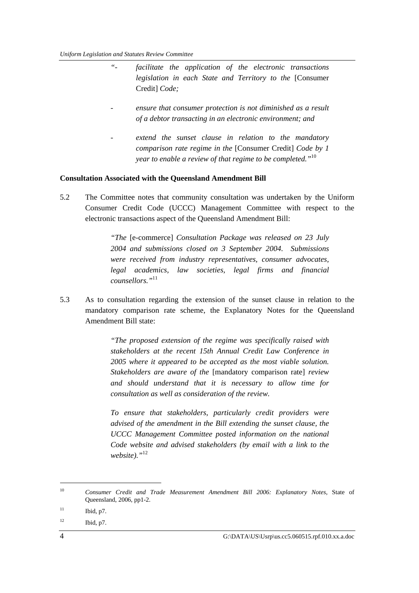- *"- facilitate the application of the electronic transactions legislation in each State and Territory to the* [Consumer Credit] *Code;*
- *ensure that consumer protection is not diminished as a result of a debtor transacting in an electronic environment; and*
- extend the sunset clause in relation to the mandatory *comparison rate regime in the* [Consumer Credit] *Code by 1 year to enable a review of that regime to be completed."*<sup>10</sup>

#### **Consultation Associated with the Queensland Amendment Bill**

5.2 The Committee notes that community consultation was undertaken by the Uniform Consumer Credit Code (UCCC) Management Committee with respect to the electronic transactions aspect of the Queensland Amendment Bill:

> *"The* [e-commerce] *Consultation Package was released on 23 July 2004 and submissions closed on 3 September 2004. Submissions were received from industry representatives, consumer advocates, legal academics, law societies, legal firms and financial counsellors."*<sup>11</sup>

5.3 As to consultation regarding the extension of the sunset clause in relation to the mandatory comparison rate scheme, the Explanatory Notes for the Queensland Amendment Bill state:

> *"The proposed extension of the regime was specifically raised with stakeholders at the recent 15th Annual Credit Law Conference in 2005 where it appeared to be accepted as the most viable solution. Stakeholders are aware of the* [mandatory comparison rate] *review and should understand that it is necessary to allow time for consultation as well as consideration of the review.*

> *To ensure that stakeholders, particularly credit providers were advised of the amendment in the Bill extending the sunset clause, the UCCC Management Committee posted information on the national Code website and advised stakeholders (by email with a link to the website)."*<sup>12</sup>

 $12$  Ibid, p7.

<sup>10</sup> *Consumer Credit and Trade Measurement Amendment Bill 2006: Explanatory Notes*, State of Queensland, 2006, pp1-2.

 $11$  Ibid, p7.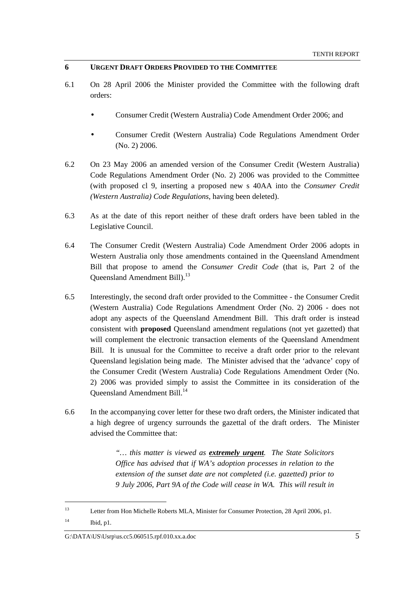## **6 URGENT DRAFT ORDERS PROVIDED TO THE COMMITTEE**

- 6.1 On 28 April 2006 the Minister provided the Committee with the following draft orders:
	- Consumer Credit (Western Australia) Code Amendment Order 2006; and
	- Consumer Credit (Western Australia) Code Regulations Amendment Order (No. 2) 2006.
- 6.2 On 23 May 2006 an amended version of the Consumer Credit (Western Australia) Code Regulations Amendment Order (No. 2) 2006 was provided to the Committee (with proposed cl 9, inserting a proposed new s 40AA into the *Consumer Credit (Western Australia) Code Regulations*, having been deleted).
- 6.3 As at the date of this report neither of these draft orders have been tabled in the Legislative Council.
- 6.4 The Consumer Credit (Western Australia) Code Amendment Order 2006 adopts in Western Australia only those amendments contained in the Queensland Amendment Bill that propose to amend the *Consumer Credit Code* (that is, Part 2 of the Queensland Amendment Bill).<sup>13</sup>
- 6.5 Interestingly, the second draft order provided to the Committee the Consumer Credit (Western Australia) Code Regulations Amendment Order (No. 2) 2006 - does not adopt any aspects of the Queensland Amendment Bill. This draft order is instead consistent with **proposed** Queensland amendment regulations (not yet gazetted) that will complement the electronic transaction elements of the Queensland Amendment Bill. It is unusual for the Committee to receive a draft order prior to the relevant Queensland legislation being made. The Minister advised that the 'advance' copy of the Consumer Credit (Western Australia) Code Regulations Amendment Order (No. 2) 2006 was provided simply to assist the Committee in its consideration of the Queensland Amendment Bill.<sup>14</sup>
- 6.6 In the accompanying cover letter for these two draft orders, the Minister indicated that a high degree of urgency surrounds the gazettal of the draft orders. The Minister advised the Committee that:

*"… this matter is viewed as extremely urgent. The State Solicitors Office has advised that if WA's adoption processes in relation to the extension of the sunset date are not completed (i.e. gazetted) prior to 9 July 2006, Part 9A of the Code will cease in WA. This will result in* 

<sup>&</sup>lt;sup>13</sup> Letter from Hon Michelle Roberts MLA, Minister for Consumer Protection, 28 April 2006, p1. <sup>14</sup> Ibid, p1.

 $G:\Delta\left\{S\setminus\text{DATA}\right\}$  \US\Usrp\us.cc5.060515.rpf.010.xx.a.doc 5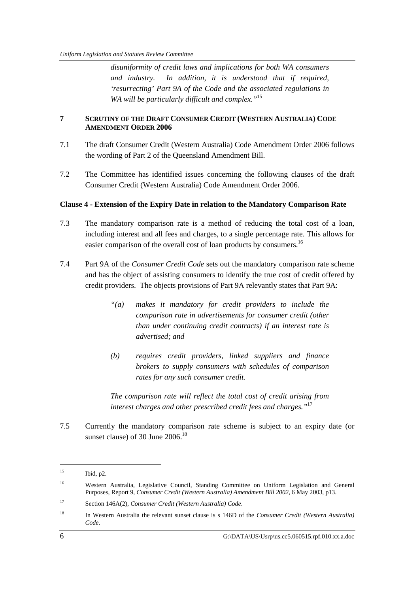*disuniformity of credit laws and implications for both WA consumers and industry. In addition, it is understood that if required, 'resurrecting' Part 9A of the Code and the associated regulations in*  WA will be particularly difficult and complex."<sup>15</sup>

# **7 SCRUTINY OF THE DRAFT CONSUMER CREDIT (WESTERN AUSTRALIA) CODE AMENDMENT ORDER 2006**

- 7.1 The draft Consumer Credit (Western Australia) Code Amendment Order 2006 follows the wording of Part 2 of the Queensland Amendment Bill.
- 7.2 The Committee has identified issues concerning the following clauses of the draft Consumer Credit (Western Australia) Code Amendment Order 2006.

#### **Clause 4 - Extension of the Expiry Date in relation to the Mandatory Comparison Rate**

- 7.3 The mandatory comparison rate is a method of reducing the total cost of a loan, including interest and all fees and charges, to a single percentage rate. This allows for easier comparison of the overall cost of loan products by consumers.<sup>16</sup>
- 7.4 Part 9A of the *Consumer Credit Code* sets out the mandatory comparison rate scheme and has the object of assisting consumers to identify the true cost of credit offered by credit providers. The objects provisions of Part 9A relevantly states that Part 9A:
	- *"(a) makes it mandatory for credit providers to include the comparison rate in advertisements for consumer credit (other than under continuing credit contracts) if an interest rate is advertised; and*
	- *(b) requires credit providers, linked suppliers and finance brokers to supply consumers with schedules of comparison rates for any such consumer credit.*

*The comparison rate will reflect the total cost of credit arising from interest charges and other prescribed credit fees and charges."*<sup>17</sup>

7.5 Currently the mandatory comparison rate scheme is subject to an expiry date (or sunset clause) of 30 June  $2006$ <sup>18</sup>

<sup>15</sup> Ibid, p2.

<sup>&</sup>lt;sup>16</sup> Western Australia, Legislative Council, Standing Committee on Uniform Legislation and General Purposes, Report 9, *Consumer Credit (Western Australia) Amendment Bill 2002,* 6 May 2003, p13.

<sup>17</sup> Section 146A(2), *Consumer Credit (Western Australia) Code*.

<sup>18</sup> In Western Australia the relevant sunset clause is s 146D of the *Consumer Credit (Western Australia) Code*.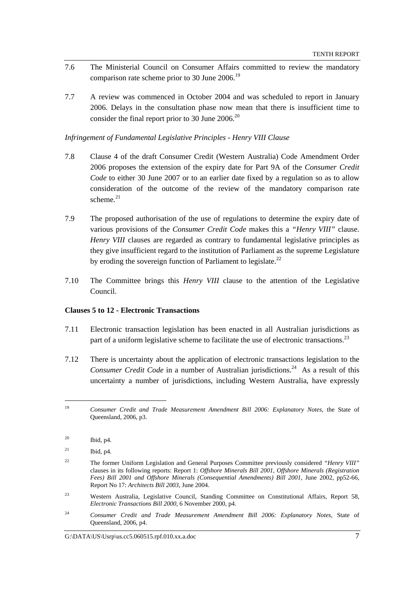- 7.6 The Ministerial Council on Consumer Affairs committed to review the mandatory comparison rate scheme prior to 30 June  $2006$ <sup>19</sup>
- 7.7 A review was commenced in October 2004 and was scheduled to report in January 2006. Delays in the consultation phase now mean that there is insufficient time to consider the final report prior to 30 June  $2006$ <sup>20</sup>

*Infringement of Fundamental Legislative Principles - Henry VIII Clause* 

- 7.8 Clause 4 of the draft Consumer Credit (Western Australia) Code Amendment Order 2006 proposes the extension of the expiry date for Part 9A of the *Consumer Credit Code* to either 30 June 2007 or to an earlier date fixed by a regulation so as to allow consideration of the outcome of the review of the mandatory comparison rate scheme. $21$
- 7.9 The proposed authorisation of the use of regulations to determine the expiry date of various provisions of the *Consumer Credit Code* makes this a *"Henry VIII"* clause. *Henry VIII* clauses are regarded as contrary to fundamental legislative principles as they give insufficient regard to the institution of Parliament as the supreme Legislature by eroding the sovereign function of Parliament to legislate. $^{22}$
- 7.10 The Committee brings this *Henry VIII* clause to the attention of the Legislative Council.

#### **Clauses 5 to 12 - Electronic Transactions**

- 7.11 Electronic transaction legislation has been enacted in all Australian jurisdictions as part of a uniform legislative scheme to facilitate the use of electronic transactions.<sup>23</sup>
- 7.12 There is uncertainty about the application of electronic transactions legislation to the *Consumer Credit Code* in a number of Australian jurisdictions.<sup>24</sup> As a result of this uncertainty a number of jurisdictions, including Western Australia, have expressly

<sup>19</sup> *Consumer Credit and Trade Measurement Amendment Bill 2006: Explanatory Notes*, the State of Queensland, 2006, p3.

<sup>20</sup> Ibid, p4.

 $^{21}$  Ibid, p4.

<sup>22</sup> The former Uniform Legislation and General Purposes Committee previously considered *"Henry VIII"*  clauses in its following reports: Report 1: *Offshore Minerals Bill 2001, Offshore Minerals (Registration Fees) Bill 2001 and Offshore Minerals (Consequential Amendments) Bill 2001,* June 2002, pp52-66, Report No 17: *Architects Bill 2003*, June 2004.

<sup>23</sup> Western Australia, Legislative Council, Standing Committee on Constitutional Affairs, Report 58, *Electronic Transactions Bill 2000,* 6 November 2000, p4.

<sup>24</sup> *Consumer Credit and Trade Measurement Amendment Bill 2006: Explanatory Notes*, State of Queensland, 2006, p4.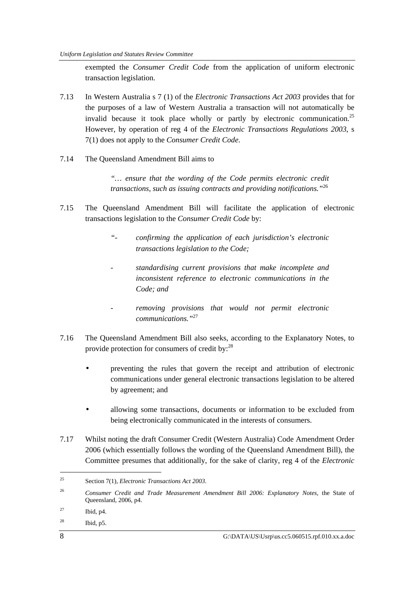exempted the *Consumer Credit Code* from the application of uniform electronic transaction legislation.

- 7.13 In Western Australia s 7 (1) of the *Electronic Transactions Act 2003* provides that for the purposes of a law of Western Australia a transaction will not automatically be invalid because it took place wholly or partly by electronic communication.<sup>25</sup> However, by operation of reg 4 of the *Electronic Transactions Regulations 2003*, s 7(1) does not apply to the *Consumer Credit Code*.
- 7.14 The Queensland Amendment Bill aims to

*"… ensure that the wording of the Code permits electronic credit transactions, such as issuing contracts and providing notifications."*<sup>26</sup> 

- 7.15 The Queensland Amendment Bill will facilitate the application of electronic transactions legislation to the *Consumer Credit Code* by:
	- *"- confirming the application of each jurisdiction's electronic transactions legislation to the Code;*
	- *standardising current provisions that make incomplete and inconsistent reference to electronic communications in the Code; and*
	- *removing provisions that would not permit electronic communications."*<sup>27</sup>
- 7.16 The Queensland Amendment Bill also seeks, according to the Explanatory Notes, to provide protection for consumers of credit by:<sup>28</sup>
	- preventing the rules that govern the receipt and attribution of electronic communications under general electronic transactions legislation to be altered by agreement; and
	- allowing some transactions, documents or information to be excluded from being electronically communicated in the interests of consumers.
- 7.17 Whilst noting the draft Consumer Credit (Western Australia) Code Amendment Order 2006 (which essentially follows the wording of the Queensland Amendment Bill), the Committee presumes that additionally, for the sake of clarity, reg 4 of the *Electronic*

<sup>25</sup> Section 7(1), *Electronic Transactions Act 2003*.

<sup>26</sup> *Consumer Credit and Trade Measurement Amendment Bill 2006: Explanatory Notes*, the State of Queensland, 2006, p4.

 $27$  Ibid, p4.

 $^{28}$  Ibid, p5.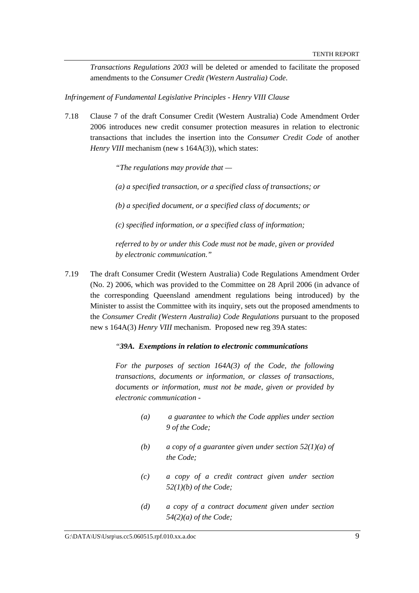*Transactions Regulations 2003* will be deleted or amended to facilitate the proposed amendments to the *Consumer Credit (Western Australia) Code*.

*Infringement of Fundamental Legislative Principles - Henry VIII Clause* 

7.18 Clause 7 of the draft Consumer Credit (Western Australia) Code Amendment Order 2006 introduces new credit consumer protection measures in relation to electronic transactions that includes the insertion into the *Consumer Credit Code* of another *Henry VIII* mechanism (new s 164A(3)), which states:

*"The regulations may provide that —* 

*(a) a specified transaction, or a specified class of transactions; or* 

*(b) a specified document, or a specified class of documents; or* 

*(c) specified information, or a specified class of information;* 

*referred to by or under this Code must not be made, given or provided by electronic communication."* 

7.19 The draft Consumer Credit (Western Australia) Code Regulations Amendment Order (No. 2) 2006, which was provided to the Committee on 28 April 2006 (in advance of the corresponding Queensland amendment regulations being introduced) by the Minister to assist the Committee with its inquiry, sets out the proposed amendments to the *Consumer Credit (Western Australia) Code Regulations* pursuant to the proposed new s 164A(3) *Henry VIII* mechanism. Proposed new reg 39A states:

#### *"39A. Exemptions in relation to electronic communications*

*For the purposes of section 164A(3) of the Code, the following transactions, documents or information, or classes of transactions, documents or information, must not be made, given or provided by electronic communication -* 

- *(a) a guarantee to which the Code applies under section 9 of the Code;*
- *(b) a copy of a guarantee given under section 52(1)(a) of the Code;*
- *(c) a copy of a credit contract given under section 52(1)(b) of the Code;*
- *(d) a copy of a contract document given under section 54(2)(a) of the Code;*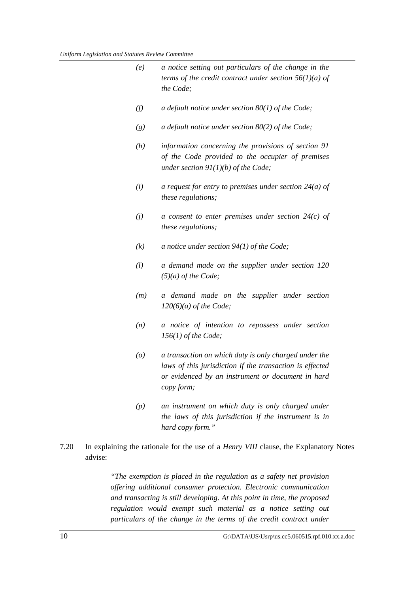|      | (e)                | a notice setting out particulars of the change in the<br>terms of the credit contract under section $56(1)(a)$ of<br>the Code;                                                       |
|------|--------------------|--------------------------------------------------------------------------------------------------------------------------------------------------------------------------------------|
|      | (f)                | a default notice under section $80(1)$ of the Code;                                                                                                                                  |
|      | (g)                | a default notice under section $80(2)$ of the Code;                                                                                                                                  |
|      | (h)                | information concerning the provisions of section 91<br>of the Code provided to the occupier of premises<br>under section $91(1)(b)$ of the Code;                                     |
|      | (i)                | a request for entry to premises under section $24(a)$ of<br>these regulations;                                                                                                       |
|      | (j)                | a consent to enter premises under section $24(c)$ of<br>these regulations;                                                                                                           |
|      | (k)                | a notice under section $94(1)$ of the Code;                                                                                                                                          |
|      | (l)                | a demand made on the supplier under section 120<br>$(5)(a)$ of the Code;                                                                                                             |
|      | (m)                | a demand made on the supplier under section<br>$120(6)(a)$ of the Code;                                                                                                              |
|      | (n)                | a notice of intention to repossess under section<br>$156(1)$ of the Code;                                                                                                            |
|      | $\left( o \right)$ | a transaction on which duty is only charged under the<br>laws of this jurisdiction if the transaction is effected<br>or evidenced by an instrument or document in hard<br>copy form; |
|      | (p)                | an instrument on which duty is only charged under<br>the laws of this jurisdiction if the instrument is in<br>hard copy form."                                                       |
| 7.20 |                    | In explaining the rationale for the use of a <i>Henry VIII</i> clause, the Explanatory Notes                                                                                         |

advise:

*"The exemption is placed in the regulation as a safety net provision offering additional consumer protection. Electronic communication and transacting is still developing. At this point in time, the proposed regulation would exempt such material as a notice setting out particulars of the change in the terms of the credit contract under*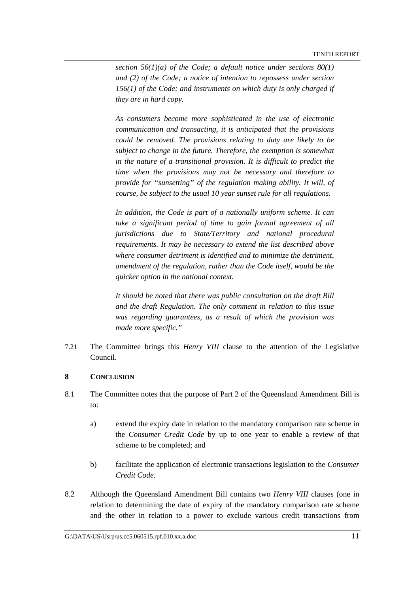*section 56(1)(a) of the Code; a default notice under sections 80(1) and (2) of the Code; a notice of intention to repossess under section 156(1) of the Code; and instruments on which duty is only charged if they are in hard copy.* 

*As consumers become more sophisticated in the use of electronic communication and transacting, it is anticipated that the provisions could be removed. The provisions relating to duty are likely to be subject to change in the future. Therefore, the exemption is somewhat in the nature of a transitional provision. It is difficult to predict the time when the provisions may not be necessary and therefore to provide for "sunsetting" of the regulation making ability. It will, of course, be subject to the usual 10 year sunset rule for all regulations.* 

*In addition, the Code is part of a nationally uniform scheme. It can take a significant period of time to gain formal agreement of all jurisdictions due to State/Territory and national procedural requirements. It may be necessary to extend the list described above where consumer detriment is identified and to minimize the detriment, amendment of the regulation, rather than the Code itself, would be the quicker option in the national context.* 

*It should be noted that there was public consultation on the draft Bill and the draft Regulation. The only comment in relation to this issue was regarding guarantees, as a result of which the provision was made more specific."* 

7.21 The Committee brings this *Henry VIII* clause to the attention of the Legislative Council.

## **8 CONCLUSION**

- 8.1 The Committee notes that the purpose of Part 2 of the Queensland Amendment Bill is to:
	- a) extend the expiry date in relation to the mandatory comparison rate scheme in the *Consumer Credit Code* by up to one year to enable a review of that scheme to be completed; and
	- b) facilitate the application of electronic transactions legislation to the *Consumer Credit Code*.
- 8.2 Although the Queensland Amendment Bill contains two *Henry VIII* clauses (one in relation to determining the date of expiry of the mandatory comparison rate scheme and the other in relation to a power to exclude various credit transactions from